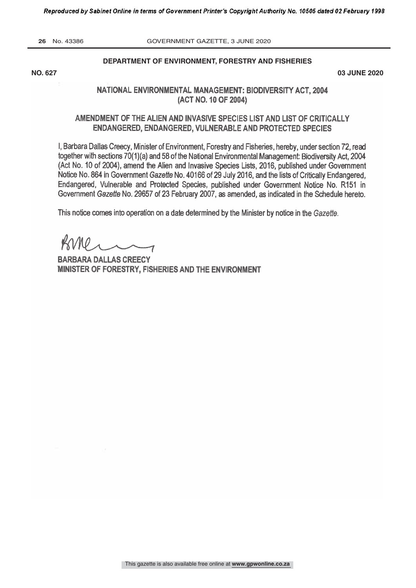**26** No. 43386 GOVERNMENT GAZETTE, 3 JUNE 2020

#### **DEPARTMENT OF ENVIRONMENT, FORESTRY AND FISHERIES**

**NO. 627 03 JUNE 2020**

# NATIONAL ENVIRONMENTAL MANAGEMENT: BIODIVERSITY ACT. 2004 (ACT NO. 10 OF 2004)

## AMENDMENT OF THE ALIEN AND INVASIVE SPECIES LIST AND LIST OF CRITICALLY **ENDANGERED, ENDANGERED, VULNERABLE AND PROTECTED SPECIES**

I, Barbara Dallas Creecy, Minister of Environment, Forestry and Fisheries, hereby, under section 72, read together with sections 70(1)(a) and 58 of the National Environmental Management: Biodiversity Act, 2004 (Act No. 10 of 2004), amend the Alien and Invasive Species Lists, 2016, published under Government Notice No. 864 in Government Gazette No. 40166 of 29 July 2016, and the lists of Critically Endangered, Endangered, Vulnerable and Protected Species, published under Government Notice No. R151 in Government Gazette No. 29657 of 23 February 2007, as amended, as indicated in the Schedule hereto.

This notice comes into operation on a date determined by the Minister by notice in the Gazette.

BARBARA DALLAS CREECY MINISTER OF FORESTRY, FISHERIES AND THE ENVIRONMENT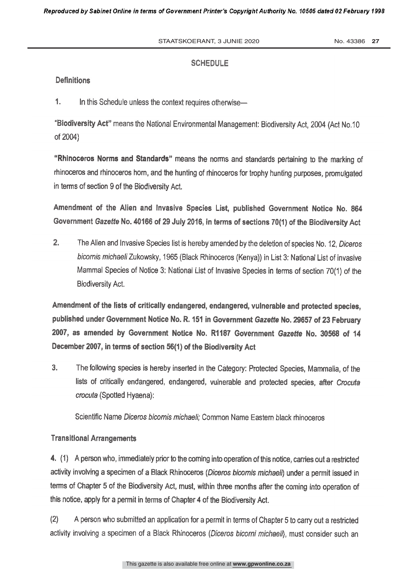## **SCHEDULE**

#### **Definitions**

 $1.$ In this Schedule unless the context requires otherwise-

"Biodiversity Act" means the National Environmental Management: Biodiversity Act, 2004 (Act No.10 of 2004)

"Rhinoceros Norms and Standards" means the norms and standards pertaining to the marking of rhinoceros and rhinoceros horn, and the hunting of rhinoceros for trophy hunting purposes, promulgated in terms of section 9 of the Biodiversity Act.

Amendment of the Alien and Invasive Species List, published Government Notice No. 864 Government Gazette No. 40166 of 29 July 2016, in terms of sections 70(1) of the Biodiversity Act

 $2<sub>1</sub>$ The Alien and Invasive Species list is hereby amended by the deletion of species No. 12, Diceros bicornis michaeli Zukowsky, 1965 (Black Rhinoceros (Kenya)) in List 3: National List of invasive Mammal Species of Notice 3: National List of Invasive Species in terms of section 70(1) of the **Biodiversity Act.** 

Amendment of the lists of critically endangered, endangered, vulnerable and protected species, published under Government Notice No. R. 151 in Government Gazette No. 29657 of 23 February 2007, as amended by Government Notice No. R1187 Government Gazette No. 30568 of 14 December 2007, in terms of section 56(1) of the Biodiversity Act

 $3.$ The following species is hereby inserted in the Category: Protected Species, Mammalia, of the lists of critically endangered, endangered, vulnerable and protected species, after Crocufa crocuta (Spotted Hyaena):

Scientific Name Diceros bicornis michaeli: Common Name Eastern black rhinoceros

## **Transitional Arrangements**

4. (1) A person who, immediately prior to the coming into operation of this notice, carries out a restricted activity involving a specimen of a Black Rhinoceros (Diceros bicornis michaeli) under a permit issued in terms of Chapter 5 of the Biodiversity Act, must, within three months after the coming into operation of this notice, apply for a permit in terms of Chapter 4 of the Biodiversity Act.

 $(2)$ A person who submitted an application for a permit in terms of Chapter 5 to carry out a restricted activity involving a specimen of a Black Rhinoceros (Diceros bicorni michaeli), must consider such an